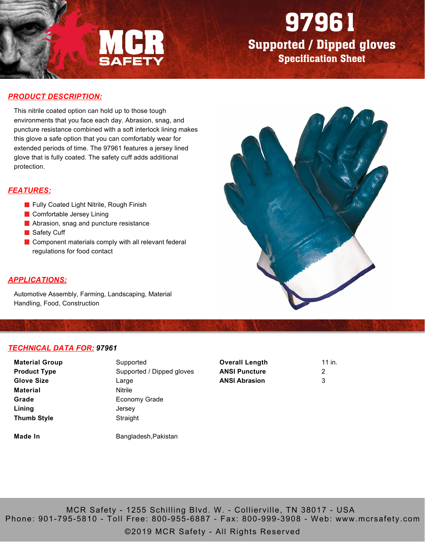

# 97961

Supported / Dipped gloves Specification Sheet

### *PRODUCT DESCRIPTION:*

This nitrile coated option can hold up to those tough environments that you face each day. Abrasion, snag, and puncture resistance combined with a soft interlock lining makes this glove a safe option that you can comfortably wear for extended periods of time. The 97961 features a jersey lined glove that is fully coated. The safety cuff adds additional protection.

#### *FEATURES:*

- **Fully Coated Light Nitrile, Rough Finish**
- Comfortable Jersey Lining
- Abrasion, snag and puncture resistance
- Safety Cuff
- Component materials comply with all relevant federal regulations for food contact



#### *APPLICATIONS:*

Automotive Assembly, Farming, Landscaping, Material Handling, Food, Construction

#### *TECHNICAL DATA FOR: 97961*

| <b>Material Group</b> | Supported                                         | <b>Overall Length</b> | 11 in. |  |  |  |
|-----------------------|---------------------------------------------------|-----------------------|--------|--|--|--|
| <b>Product Type</b>   | <b>ANSI Puncture</b><br>Supported / Dipped gloves |                       | 2      |  |  |  |
| <b>Glove Size</b>     | Large                                             | 3                     |        |  |  |  |
| <b>Material</b>       | Nitrile                                           |                       |        |  |  |  |
| Grade                 | Economy Grade                                     |                       |        |  |  |  |
| Lining                | Jersey                                            |                       |        |  |  |  |
| <b>Thumb Style</b>    | Straight                                          |                       |        |  |  |  |
|                       |                                                   |                       |        |  |  |  |

**Made In** Bangladesh, Pakistan

MCR Safety - 1255 Schilling Blvd. W. - Collierville, TN 38017 - USA Phone: 901-795-5810 - Toll Free: 800-955-6887 - Fax: 800-999-3908 - Web: www.mcrsafety.com

©2019 MCR Safety - All Rights Reserved